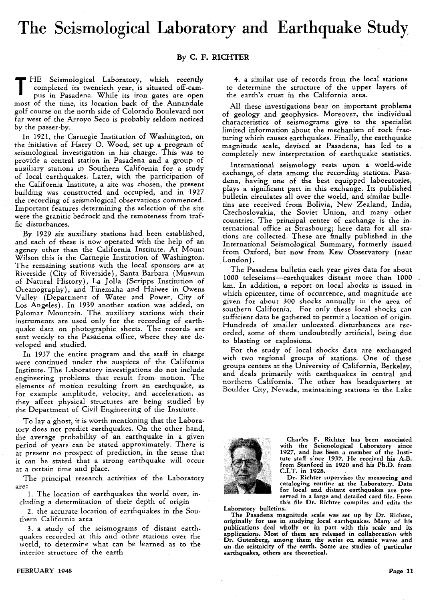## **The Seismological Laboratory and Earthquake Study**

## **By C. F. RICHTER**

THE Seismological Laboratory, which recently completed its twentieth year, is situated off-campus in Pasadena. While its iron gates are open completed its twentieth year, is situated off-campus in Pasadena. While its iron gates are open most of the time, its location back of the Annandale golf course on the north side of Colorado Boulevard not far west of the Arroyo Seco is probably seldom noticed by the passer-by.

In 1921, the Carnegie Institution of Washington, on the initiative of Harry O. Wood, set up a program of seismological investigation in his charge. This was to provide a central station in Pasadena and a group of auxiliary stations in Southern California for a study of local earthquakes. Later, with the participation of the California Institute, a site was chosen, the present building was constructed and occupied, and in 1927 the recording of seismological observations commenced. Important features determining the selection of the site were the granitic bedrock and the remoteness from traffic disturbances.

By 1929 six auxiliary stations had been established, and each of these is now operated with the help of an agency other than the California Institute. At Mount Wilson this is the Carnegie Institution of Washington. The remaining stations with the local sponsors are at Riverside (City of Riverside), Santa Barbara (Museum of Natural History), La Jolla (Scripps Institution of Oceanography), and Tinemaha and Haiwee in Owens Valley (Department of Water and Power, City of Los Angeles). In 1939 another station was added, on Palomar Mountain. The auxiliary stations with their instruments are used only for the recording of earthquake data on photographic sheets. The records are sent weekly to the Pasadena office, where they are developed and studied.

In 1937 the entire program and the staff in charge were continued under the auspices of the California Institute. The Laboratory investigations do not include engineering problems that result from motion. The elements of motion resulting from an earthquake, as for example amplitude, velocity, and acceleration, as they affect physical structures are being studied by the Department of Civil Engineering of the Institute.

To lay a ghost, it is worth mentioning that the Laboratory does not predict earthquakes. On the other hand, the average probability of an earthquake in a given period of years can be stated approximately. There is at present no prospect of prediction, in the sense that it can be stated that a strong earthquake will occur at a certain time and place.

The principal research activities of the Laboratory are:

1. The location of earthquakes the world over, including a determination of their depth of origin

2. the accurate location of earthquakes in the Southern California area

3. a study of the seismograms of distant earthquakes recorded at this and other stations over the world, to determine what can be learned as to the interior structure of the earth

4. a similar use of records from the local stations to determine the structure of the upper layers of the earth's crust in the California area.

All these investigations bear on important problems of geology and geophysics. Moreover, the individual characteristics of seismograms give to the specialist limited information about the mechanism of rock fracturing which causes earthquakes. Finally, the earthquake magnitude scale, devised at Pasadena, has led to a completely new interpretation of earthquake statistics.

International seismology rests upon a world-wide exchange}. of data among the recording stations. Pasadena, having one of the best equipped laboratories, plays a significant part in this exchange. Its published bulletin circulates all over the world, and similar bulletins are received from Bolivia, New Zealand, India, Czechoslovakia, the Soviet Union, and many other countries. The principal center of exchange is the international office at Strasbourg; here data for all stations are collected. These are finally published in .the International Seismological Summary, formerly issued from Oxford, but now from Kew Observatory (near London).

The Pasadena bulletin each year gives data for about 1000 teleseisms-earthquakes distant more than 1000 km. In addition, a report on local shocks is issued in which epicenter, time of occurrence, and magnitude are given for about 300 shocks annually in the area of southern California. For only these local shocks can sufficient data be gathered to permit a location of origin. Hundreds of smaller unlocated disturbances are recorded, some of them undoubtedly artificial, being due to blasting or explosions.

For the study of local shocks data are exchanged with two regional groups of stations. One of these groups centers at the University of California, Berkeley, and deals primarily with earthquakes in central and northern California. The other has headquarters at Boulder City, Nevada, maintaining stations in the Lake



Charles F. Richter has been associated with the Seismological Laboratory since 1927, and has been a member of the Institute staff s·nce 1937. He received his A.B. from Stanford in 1920 and his Ph.D. from C.I.T. in 1928.

Dr. Richter supervises the measuring and cataloging routine at the Laboratory. Data for local and distant earthquakes are preserved in a large and detailed card file. From this file Dr. Richter compiles and edits the

Laboratory bulletins.

The Pasadena magnitude scale was set up by Dr. Richter, originally for use in studying local earthquakes. Many of his publications deal wholly or in part with this scale and its applications. Most of them are released in collaboration with Dr. Gutenberg, among them the series on seismic waves and on the seismicity of the earth. Some are studies of particular earthquakes, others are theoretical.